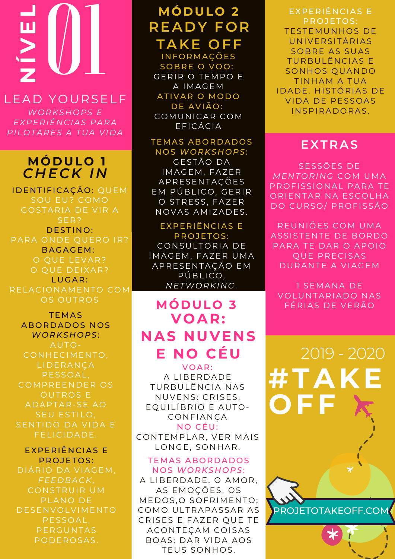# **NÍ**01 LEA D Y O URSELF

**V**

**E**

**L**

*WORKSHOPS E EXPERIÊ N CIAS PARA PIL O TARES A TUA VI D A*

## *C H ECK I N* **MÓD ULO 1**

I DENTIFICAÇÃO: QUEM SOU EU? COMO GOSTARIA DE VIR A SER? DESTINO: PARA ONDE OUERO IR? BAGAGEM: O QUE LEVAR? O OUE DEIXAR? LUGAR: RELACIONAMENTO COM OS OUTROS

TEMAS ABORDADOS NOS *WORKSHOPS:* CONHECIMENTO, PESSOAL. COMPREENDER OS OUTROS E A D A PTAR-SE AO SEU ESTILO, SENTIDO DA VIDA E FELICIDADE.

EXPERIÊNCIAS E PROJETOS:

DIÁRIO DA VIAGEM, *FEE D BACK*, CONSTRUIR UM PLANO DE **DESENVOLVIMENTO** PESSOAL. PERGUNTAS PODEROSAS.

# **MÓD ULO 2 REA D Y FOR TAKE OFF**

**INFORMAÇÕES** SOBRE O VOO: **GERIR O TEMPO E** A IMAGEM ATIVAR O MODO DE AVIÃO: COMUNICAR COM EFICÁCIA

#### **TEMAS ABORDADOS**  $NOS$  *WORKSHOPS*:

GESTÃO DA IMAGEM, FAZER **APRESENTAÇÕES** EM PÚBLICO, GERIR O STRESS, FAZER NOVAS AMIZADES.

#### EXPERIÊN CIAS E PROJETOS:

CONSULTORIA DE IMAGEM, FAZER UMA APRESENTAÇÃO EM PÚBLICO,  $NETWORKING$ .

# **MÓD ULO 3 VOAR: N AS N UVE N S E NO CÉU**

VOAR: A LIBERDADE TURBULÊNCIA NAS NUVENS: CRISES, EQUILÍBRIO E AUTO-**CONFIANÇA** NO CÉU:

CONTEMPLAR, VER MAIS LONGE, SONHAR.

#### **TEMAS ABORDADOS**  $NOS$  *WORKSHOPS*:

A LIBERDADE, O AMOR, AS EMOÇÕES, OS MEDOS, O SOFRIMENTO; C OMO ULTRAPASSAR AS CRISES E FAZER Q UE TE ACONTEÇAM COISAS BOAS; DAR VIDA AOS TEUS SONHOS.

EXPERIÊNCIAS E PROJETOS: TESTEMUNHOS DE **UNIVERSITÁRIAS** SOBRE AS SUAS TURBULÊNCIAS E SONHOS QUANDO TINHAM A TUA I DA DE. HISTÓRIAS DE VIDA DE PESSOAS INSPIRADORAS.

### **EXTRAS**

SESSÕES DE *ME N T O RI N G* C OM UMA PROFISSIONAL PARA TE ORIENTAR NA ESCOLHA DO CURSO / PROFISSÃO

REUNIÕES COM UMA ASSISTENTE DE BORDO PARA TE DAR O APOIO Q UE PRECISAS DURANTE A VIAGEM

1 SEMANA DE VOLUNTARIADO NAS FÉRIAS DE VERÃO

**#TAKE OFF** 2019 - 2020

PROJETOTAKEOFF.COM